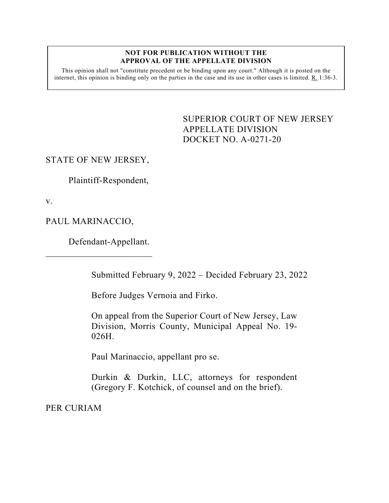## **NOT FOR PUBLICATION WITHOUT THE APPROVAL OF THE APPELLATE DIVISION**

This opinion shall not "constitute precedent or be binding upon any court." Although it is posted on the internet, this opinion is binding only on the parties in the case and its use in other cases is limited. R. 1:36-3.

> <span id="page-0-0"></span>SUPERIOR COURT OF NEW JERSEY APPELLATE DIVISION DOCKET NO. A-0271-20

## STATE OF NEW JERSEY,

Plaintiff-Respondent,

v.

PAUL MARINACCIO,

Defendant-Appellant.

 $\overline{\phantom{a}}$  , which is a set of the set of the set of the set of the set of the set of the set of the set of the set of the set of the set of the set of the set of the set of the set of the set of the set of the set of th

Submitted February 9, 2022 – Decided February 23, 2022

Before Judges Vernoia and Firko.

On appeal from the Superior Court of New Jersey, Law Division, Morris County, Municipal Appeal No. 19- 026H.

Paul Marinaccio, appellant pro se.

Durkin & Durkin, LLC, attorneys for respondent (Gregory F. Kotchick, of counsel and on the brief).

PER CURIAM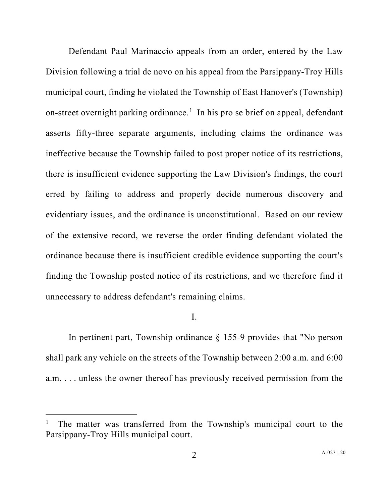Defendant Paul Marinaccio appeals from an order, entered by the Law Division following a trial de novo on his appeal from the Parsippany-Troy Hills municipal court, finding he violated the Township of East Hanover's (Township) on-street overnight parking ordinance.<sup>[1](#page-1-0)</sup> In his pro se brief on appeal, defendant asserts fifty-three separate arguments, including claims the ordinance was ineffective because the Township failed to post proper notice of its restrictions, there is insufficient evidence supporting the Law Division's findings, the court erred by failing to address and properly decide numerous discovery and evidentiary issues, and the ordinance is unconstitutional. Based on our review of the extensive record, we reverse the order finding defendant violated the ordinance because there is insufficient credible evidence supporting the court's finding the Township posted notice of its restrictions, and we therefore find it unnecessary to address defendant's remaining claims.

I.

In pertinent part, Township ordinance § 155-9 provides that "No person shall park any vehicle on the streets of the Township between 2:00 a.m. and 6:00 a.m. . . . unless the owner thereof has previously received permission from the

<span id="page-1-0"></span><sup>1</sup> The matter was transferred from the Township's municipal court to the Parsippany-Troy Hills municipal court.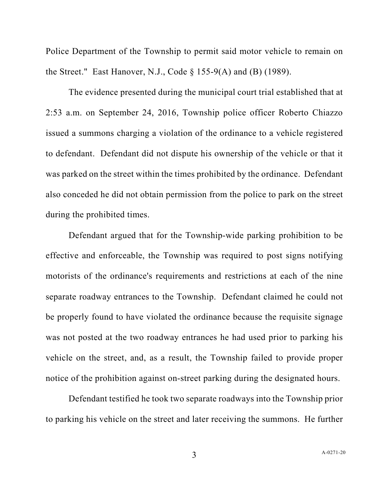Police Department of the Township to permit said motor vehicle to remain on the Street." East Hanover, N.J., Code  $\S$  155-9(A) and (B) (1989).

The evidence presented during the municipal court trial established that at 2:53 a.m. on September 24, 2016, Township police officer Roberto Chiazzo issued a summons charging a violation of the ordinance to a vehicle registered to defendant. Defendant did not dispute his ownership of the vehicle or that it was parked on the street within the times prohibited by the ordinance. Defendant also conceded he did not obtain permission from the police to park on the street during the prohibited times.

Defendant argued that for the Township-wide parking prohibition to be effective and enforceable, the Township was required to post signs notifying motorists of the ordinance's requirements and restrictions at each of the nine separate roadway entrances to the Township. Defendant claimed he could not be properly found to have violated the ordinance because the requisite signage was not posted at the two roadway entrances he had used prior to parking his vehicle on the street, and, as a result, the Township failed to provide proper notice of the prohibition against on-street parking during the designated hours.

Defendant testified he took two separate roadways into the Township prior to parking his vehicle on the street and later receiving the summons. He further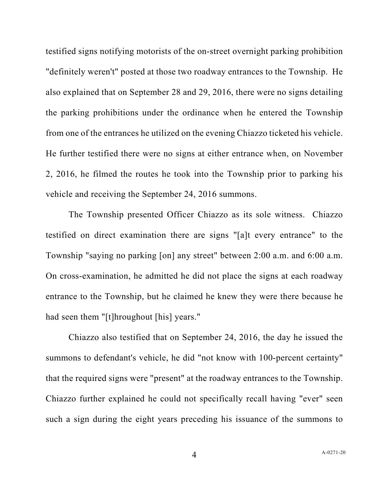testified signs notifying motorists of the on-street overnight parking prohibition "definitely weren't" posted at those two roadway entrances to the Township. He also explained that on September 28 and 29, 2016, there were no signs detailing the parking prohibitions under the ordinance when he entered the Township from one of the entrances he utilized on the evening Chiazzo ticketed his vehicle. He further testified there were no signs at either entrance when, on November 2, 2016, he filmed the routes he took into the Township prior to parking his vehicle and receiving the September 24, 2016 summons.

The Township presented Officer Chiazzo as its sole witness. Chiazzo testified on direct examination there are signs "[a]t every entrance" to the Township "saying no parking [on] any street" between 2:00 a.m. and 6:00 a.m. On cross-examination, he admitted he did not place the signs at each roadway entrance to the Township, but he claimed he knew they were there because he had seen them "[t]hroughout [his] years."

Chiazzo also testified that on September 24, 2016, the day he issued the summons to defendant's vehicle, he did "not know with 100-percent certainty" that the required signs were "present" at the roadway entrances to the Township. Chiazzo further explained he could not specifically recall having "ever" seen such a sign during the eight years preceding his issuance of the summons to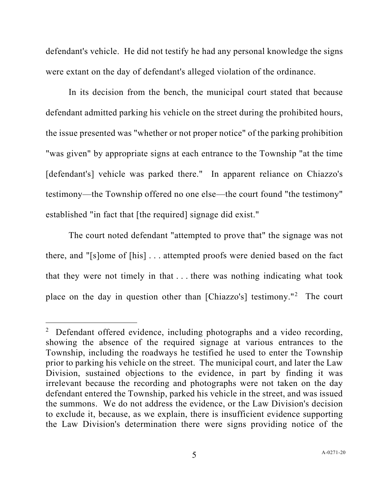defendant's vehicle. He did not testify he had any personal knowledge the signs were extant on the day of defendant's alleged violation of the ordinance.

In its decision from the bench, the municipal court stated that because defendant admitted parking his vehicle on the street during the prohibited hours, the issue presented was "whether or not proper notice" of the parking prohibition "was given" by appropriate signs at each entrance to the Township "at the time [defendant's] vehicle was parked there." In apparent reliance on Chiazzo's testimony—the Township offered no one else—the court found "the testimony" established "in fact that [the required] signage did exist."

The court noted defendant "attempted to prove that" the signage was not there, and "[s]ome of [his] . . . attempted proofs were denied based on the fact that they were not timely in that . . . there was nothing indicating what took place on the day in question other than [Chiazzo's] testimony."[2](#page-4-0) The court

<span id="page-4-0"></span> $2$  Defendant offered evidence, including photographs and a video recording, showing the absence of the required signage at various entrances to the Township, including the roadways he testified he used to enter the Township prior to parking his vehicle on the street. The municipal court, and later the Law Division, sustained objections to the evidence, in part by finding it was irrelevant because the recording and photographs were not taken on the day defendant entered the Township, parked his vehicle in the street, and was issued the summons. We do not address the evidence, or the Law Division's decision to exclude it, because, as we explain, there is insufficient evidence supporting the Law Division's determination there were signs providing notice of the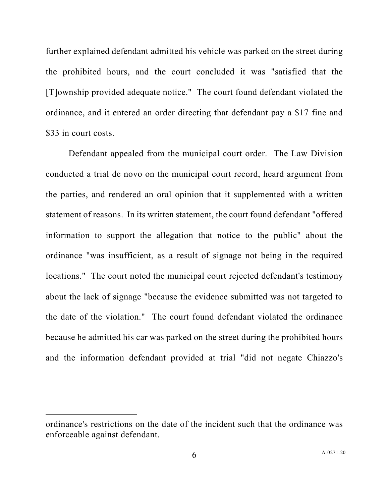further explained defendant admitted his vehicle was parked on the street during the prohibited hours, and the court concluded it was "satisfied that the [T]ownship provided adequate notice." The court found defendant violated the ordinance, and it entered an order directing that defendant pay a \$17 fine and \$33 in court costs.

Defendant appealed from the municipal court order. The Law Division conducted a trial de novo on the municipal court record, heard argument from the parties, and rendered an oral opinion that it supplemented with a written statement of reasons. In its written statement, the court found defendant "offered information to support the allegation that notice to the public" about the ordinance "was insufficient, as a result of signage not being in the required locations." The court noted the municipal court rejected defendant's testimony about the lack of signage "because the evidence submitted was not targeted to the date of the violation." The court found defendant violated the ordinance because he admitted his car was parked on the street during the prohibited hours and the information defendant provided at trial "did not negate Chiazzo's

ordinance's restrictions on the date of the incident such that the ordinance was enforceable against defendant.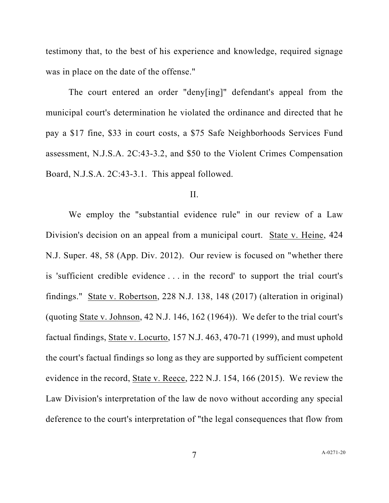testimony that, to the best of his experience and knowledge, required signage was in place on the date of the offense."

The court entered an order "deny[ing]" defendant's appeal from the municipal court's determination he violated the ordinance and directed that he pay a \$17 fine, \$33 in court costs, a \$75 Safe Neighborhoods Services Fund assessment, N.J.S.A. 2C:43-3.2, and \$50 to the Violent Crimes Compensation Board, N.J.S.A. 2C:43-3.1. This appeal followed.

## II.

We employ the "substantial evidence rule" in our review of a Law Division's decision on an appeal from a municipal court. State v. Heine, 424 N.J. Super. 48, 58 (App. Div. 2012). Our review is focused on "whether there is 'sufficient credible evidence . . . in the record' to support the trial court's findings." State v. Robertson, 228 N.J. 138, 148 (2017) (alteration in original) (quoting State v. Johnson, 42 N.J. 146, 162 (1964)). We defer to the trial court's factual findings, State v. Locurto, 157 N.J. 463, 470-71 (1999), and must uphold the court's factual findings so long as they are supported by sufficient competent evidence in the record, State v. Reece, 222 N.J. 154, 166 (2015). We review the Law Division's interpretation of the law de novo without according any special deference to the court's interpretation of "the legal consequences that flow from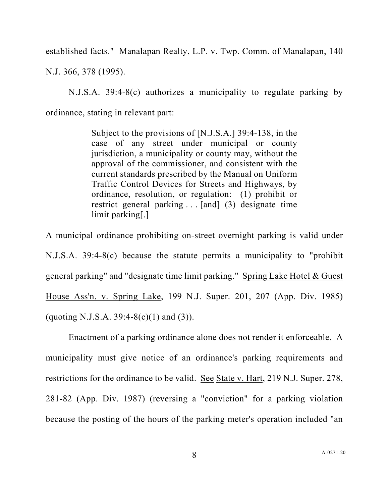established facts." Manalapan Realty, L.P. v. Twp. Comm. of Manalapan, 140 N.J. 366, 378 (1995).

N.J.S.A. 39:4-8(c) authorizes a municipality to regulate parking by ordinance, stating in relevant part:

> Subject to the provisions of [N.J.S.A.] 39:4-138, in the case of any street under municipal or county jurisdiction, a municipality or county may, without the approval of the commissioner, and consistent with the current standards prescribed by the Manual on Uniform Traffic Control Devices for Streets and Highways, by ordinance, resolution, or regulation: (1) prohibit or restrict general parking . . . [and] (3) designate time limit parking[.]

A municipal ordinance prohibiting on-street overnight parking is valid under N.J.S.A. 39:4-8(c) because the statute permits a municipality to "prohibit general parking" and "designate time limit parking." Spring Lake Hotel & Guest House Ass'n. v. Spring Lake, 199 N.J. Super. 201, 207 (App. Div. 1985) (quoting N.J.S.A. 39:4-8(c)(1) and (3)).

Enactment of a parking ordinance alone does not render it enforceable. A municipality must give notice of an ordinance's parking requirements and restrictions for the ordinance to be valid. See State v. Hart, 219 N.J. Super. 278, 281-82 (App. Div. 1987) (reversing a "conviction" for a parking violation because the posting of the hours of the parking meter's operation included "an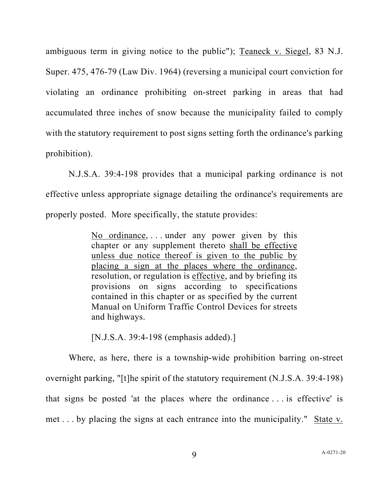ambiguous term in giving notice to the public"); Teaneck v. Siegel, 83 N.J. Super. 475, 476-79 (Law Div. 1964) (reversing a municipal court conviction for violating an ordinance prohibiting on-street parking in areas that had accumulated three inches of snow because the municipality failed to comply with the statutory requirement to post signs setting forth the ordinance's parking prohibition).

N.J.S.A. 39:4-198 provides that a municipal parking ordinance is not effective unless appropriate signage detailing the ordinance's requirements are properly posted. More specifically, the statute provides:

> No ordinance, . . . under any power given by this chapter or any supplement thereto shall be effective unless due notice thereof is given to the public by placing a sign at the places where the ordinance, resolution, or regulation is effective, and by briefing its provisions on signs according to specifications contained in this chapter or as specified by the current Manual on Uniform Traffic Control Devices for streets and highways.

[N.J.S.A. 39:4-198 (emphasis added).]

Where, as here, there is a township-wide prohibition barring on-street overnight parking, "[t]he spirit of the statutory requirement (N.J.S.A. 39:4-198) that signs be posted 'at the places where the ordinance . . . is effective' is met . . . by placing the signs at each entrance into the municipality." State v.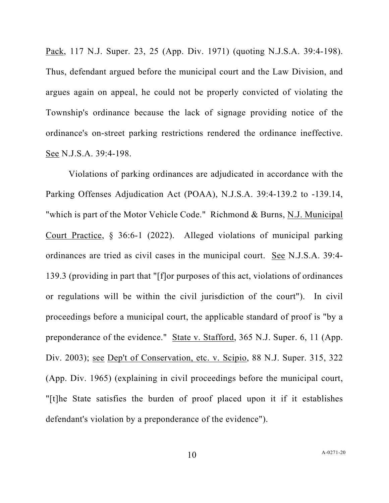Pack, 117 N.J. Super. 23, 25 (App. Div. 1971) (quoting N.J.S.A. 39:4-198). Thus, defendant argued before the municipal court and the Law Division, and argues again on appeal, he could not be properly convicted of violating the Township's ordinance because the lack of signage providing notice of the ordinance's on-street parking restrictions rendered the ordinance ineffective. See N.J.S.A. 39:4-198.

Violations of parking ordinances are adjudicated in accordance with the Parking Offenses Adjudication Act (POAA), N.J.S.A. 39:4-139.2 to -139.14, "which is part of the Motor Vehicle Code." Richmond & Burns, N.J. Municipal Court Practice, § 36:6-1 (2022). Alleged violations of municipal parking ordinances are tried as civil cases in the municipal court. See N.J.S.A. 39:4- 139.3 (providing in part that "[f]or purposes of this act, violations of ordinances or regulations will be within the civil jurisdiction of the court"). In civil proceedings before a municipal court, the applicable standard of proof is "by a preponderance of the evidence." State v. Stafford, 365 N.J. Super. 6, 11 (App. Div. 2003); see Dep't of Conservation, etc. v. Scipio, 88 N.J. Super. 315, 322 (App. Div. 1965) (explaining in civil proceedings before the municipal court, "[t]he State satisfies the burden of proof placed upon it if it establishes defendant's violation by a preponderance of the evidence").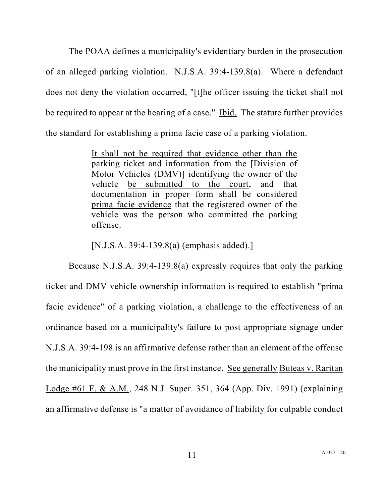The POAA defines a municipality's evidentiary burden in the prosecution of an alleged parking violation. N.J.S.A. 39:4-139.8(a). Where a defendant does not deny the violation occurred, "[t]he officer issuing the ticket shall not be required to appear at the hearing of a case." Ibid. The statute further provides the standard for establishing a prima facie case of a parking violation.

> It shall not be required that evidence other than the parking ticket and information from the [Division of Motor Vehicles (DMV)] identifying the owner of the vehicle be submitted to the court, and that documentation in proper form shall be considered prima facie evidence that the registered owner of the vehicle was the person who committed the parking offense.

[N.J.S.A. 39:4-139.8(a) (emphasis added).]

Because N.J.S.A. 39:4-139.8(a) expressly requires that only the parking ticket and DMV vehicle ownership information is required to establish "prima facie evidence" of a parking violation, a challenge to the effectiveness of an ordinance based on a municipality's failure to post appropriate signage under N.J.S.A. 39:4-198 is an affirmative defense rather than an element of the offense the municipality must prove in the first instance. See generally Buteas v. Raritan Lodge #61 F. & A.M., 248 N.J. Super. 351, 364 (App. Div. 1991) (explaining an affirmative defense is "a matter of avoidance of liability for culpable conduct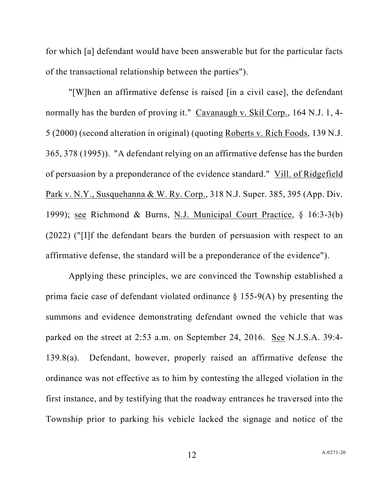for which [a] defendant would have been answerable but for the particular facts of the transactional relationship between the parties").

"[W]hen an affirmative defense is raised [in a civil case], the defendant normally has the burden of proving it." Cavanaugh v. Skil Corp., 164 N.J. 1, 4- 5 (2000) (second alteration in original) (quoting Roberts v. Rich Foods, 139 N.J. 365, 378 (1995)). "A defendant relying on an affirmative defense has the burden of persuasion by a preponderance of the evidence standard." Vill. of Ridgefield Park v. N.Y., Susquehanna & W. Ry. Corp., 318 N.J. Super. 385, 395 (App. Div. 1999); see Richmond & Burns, N.J. Municipal Court Practice, § 16:3-3(b) (2022) ("[I]f the defendant bears the burden of persuasion with respect to an affirmative defense, the standard will be a preponderance of the evidence").

Applying these principles, we are convinced the Township established a prima facie case of defendant violated ordinance § 155-9(A) by presenting the summons and evidence demonstrating defendant owned the vehicle that was parked on the street at 2:53 a.m. on September 24, 2016. See N.J.S.A. 39:4- 139.8(a). Defendant, however, properly raised an affirmative defense the ordinance was not effective as to him by contesting the alleged violation in the first instance, and by testifying that the roadway entrances he traversed into the Township prior to parking his vehicle lacked the signage and notice of the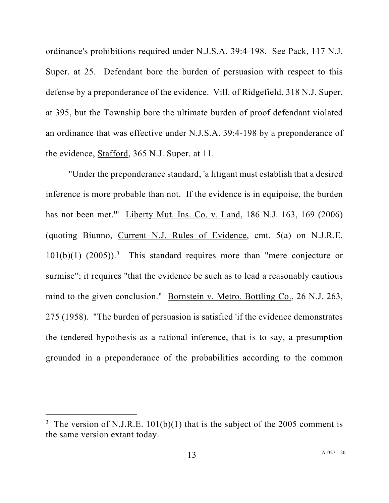ordinance's prohibitions required under N.J.S.A. 39:4-198. See Pack, 117 N.J. Super. at 25. Defendant bore the burden of persuasion with respect to this defense by a preponderance of the evidence. Vill. of Ridgefield, 318 N.J. Super. at 395, but the Township bore the ultimate burden of proof defendant violated an ordinance that was effective under N.J.S.A. 39:4-198 by a preponderance of the evidence, Stafford, 365 N.J. Super. at 11.

"Under the preponderance standard, 'a litigant must establish that a desired inference is more probable than not. If the evidence is in equipoise, the burden has not been met.'" Liberty Mut. Ins. Co. v. Land, 186 N.J. 163, 169 (2006) (quoting Biunno, Current N.J. Rules of Evidence, cmt. 5(a) on N.J.R.E.  $101(b)(1)$   $(2005))$ .<sup>[3](#page-12-0)</sup> This standard requires more than "mere conjecture or surmise"; it requires "that the evidence be such as to lead a reasonably cautious mind to the given conclusion." Bornstein v. Metro. Bottling Co., 26 N.J. 263, 275 (1958). "The burden of persuasion is satisfied 'if the evidence demonstrates the tendered hypothesis as a rational inference, that is to say, a presumption grounded in a preponderance of the probabilities according to the common

<span id="page-12-0"></span><sup>&</sup>lt;sup>3</sup> The version of N.J.R.E.  $101(b)(1)$  that is the subject of the 2005 comment is the same version extant today.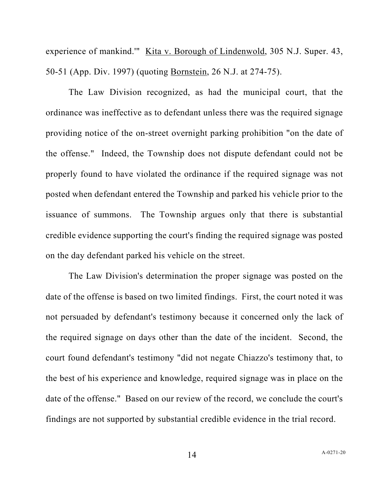experience of mankind." Kita v. Borough of Lindenwold, 305 N.J. Super. 43, 50-51 (App. Div. 1997) (quoting Bornstein, 26 N.J. at 274-75).

The Law Division recognized, as had the municipal court, that the ordinance was ineffective as to defendant unless there was the required signage providing notice of the on-street overnight parking prohibition "on the date of the offense." Indeed, the Township does not dispute defendant could not be properly found to have violated the ordinance if the required signage was not posted when defendant entered the Township and parked his vehicle prior to the issuance of summons. The Township argues only that there is substantial credible evidence supporting the court's finding the required signage was posted on the day defendant parked his vehicle on the street.

The Law Division's determination the proper signage was posted on the date of the offense is based on two limited findings. First, the court noted it was not persuaded by defendant's testimony because it concerned only the lack of the required signage on days other than the date of the incident. Second, the court found defendant's testimony "did not negate Chiazzo's testimony that, to the best of his experience and knowledge, required signage was in place on the date of the offense." Based on our review of the record, we conclude the court's findings are not supported by substantial credible evidence in the trial record.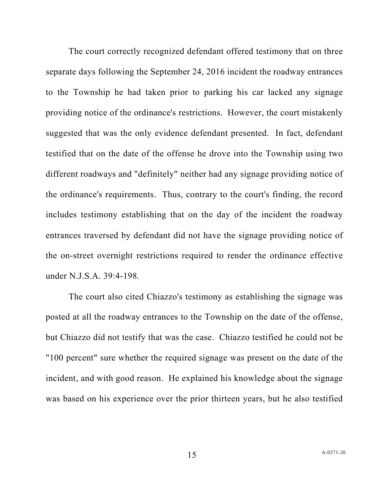The court correctly recognized defendant offered testimony that on three separate days following the September 24, 2016 incident the roadway entrances to the Township he had taken prior to parking his car lacked any signage providing notice of the ordinance's restrictions. However, the court mistakenly suggested that was the only evidence defendant presented. In fact, defendant testified that on the date of the offense he drove into the Township using two different roadways and "definitely" neither had any signage providing notice of the ordinance's requirements. Thus, contrary to the court's finding, the record includes testimony establishing that on the day of the incident the roadway entrances traversed by defendant did not have the signage providing notice of the on-street overnight restrictions required to render the ordinance effective under N.J.S.A. 39:4-198.

The court also cited Chiazzo's testimony as establishing the signage was posted at all the roadway entrances to the Township on the date of the offense, but Chiazzo did not testify that was the case. Chiazzo testified he could not be "100 percent" sure whether the required signage was present on the date of the incident, and with good reason. He explained his knowledge about the signage was based on his experience over the prior thirteen years, but he also testified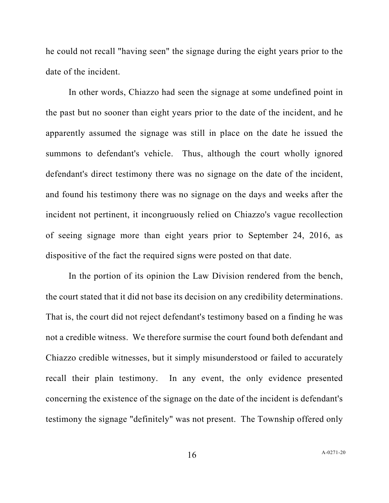he could not recall "having seen" the signage during the eight years prior to the date of the incident.

In other words, Chiazzo had seen the signage at some undefined point in the past but no sooner than eight years prior to the date of the incident, and he apparently assumed the signage was still in place on the date he issued the summons to defendant's vehicle. Thus, although the court wholly ignored defendant's direct testimony there was no signage on the date of the incident, and found his testimony there was no signage on the days and weeks after the incident not pertinent, it incongruously relied on Chiazzo's vague recollection of seeing signage more than eight years prior to September 24, 2016, as dispositive of the fact the required signs were posted on that date.

In the portion of its opinion the Law Division rendered from the bench, the court stated that it did not base its decision on any credibility determinations. That is, the court did not reject defendant's testimony based on a finding he was not a credible witness. We therefore surmise the court found both defendant and Chiazzo credible witnesses, but it simply misunderstood or failed to accurately recall their plain testimony. In any event, the only evidence presented concerning the existence of the signage on the date of the incident is defendant's testimony the signage "definitely" was not present. The Township offered only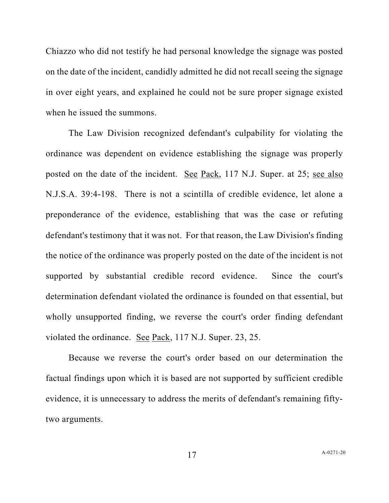Chiazzo who did not testify he had personal knowledge the signage was posted on the date of the incident, candidly admitted he did not recall seeing the signage in over eight years, and explained he could not be sure proper signage existed when he issued the summons.

The Law Division recognized defendant's culpability for violating the ordinance was dependent on evidence establishing the signage was properly posted on the date of the incident. See Pack, 117 N.J. Super. at 25; see also N.J.S.A. 39:4-198. There is not a scintilla of credible evidence, let alone a preponderance of the evidence, establishing that was the case or refuting defendant's testimony that it was not. For that reason, the Law Division's finding the notice of the ordinance was properly posted on the date of the incident is not supported by substantial credible record evidence. Since the court's determination defendant violated the ordinance is founded on that essential, but wholly unsupported finding, we reverse the court's order finding defendant violated the ordinance. See Pack, 117 N.J. Super. 23, 25.

Because we reverse the court's order based on our determination the factual findings upon which it is based are not supported by sufficient credible evidence, it is unnecessary to address the merits of defendant's remaining fiftytwo arguments.